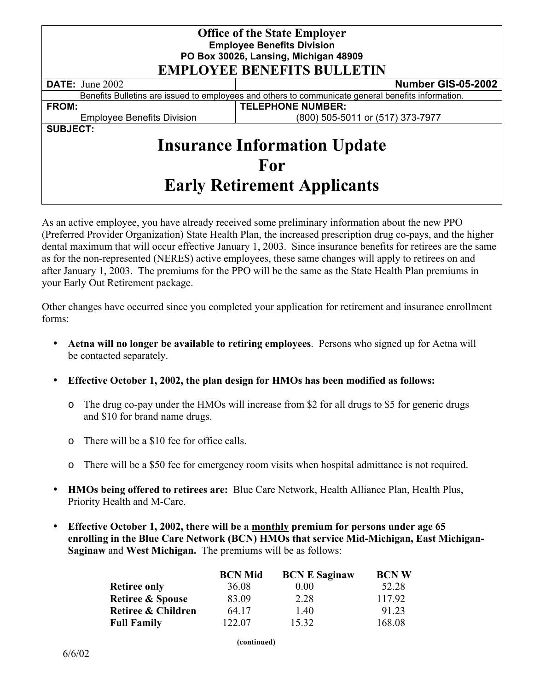| <b>Office of the State Employer</b><br><b>Employee Benefits Division</b><br>PO Box 30026, Lansing, Michigan 48909<br><b>EMPLOYEE BENEFITS BULLETIN</b> |                                  |  |  |  |
|--------------------------------------------------------------------------------------------------------------------------------------------------------|----------------------------------|--|--|--|
| <b>DATE:</b> June 2002                                                                                                                                 | Number GIS-05-2002               |  |  |  |
| Benefits Bulletins are issued to employees and others to communicate general benefits information.                                                     |                                  |  |  |  |
| <b>FROM:</b>                                                                                                                                           | <b>TELEPHONE NUMBER:</b>         |  |  |  |
| <b>Employee Benefits Division</b>                                                                                                                      | (800) 505-5011 or (517) 373-7977 |  |  |  |
| <b>SUBJECT:</b><br><b>Insurance Information Update</b>                                                                                                 |                                  |  |  |  |
| For                                                                                                                                                    |                                  |  |  |  |
| <b>Early Retirement Applicants</b>                                                                                                                     |                                  |  |  |  |

As an active employee, you have already received some preliminary information about the new PPO (Preferred Provider Organization) State Health Plan, the increased prescription drug co-pays, and the higher dental maximum that will occur effective January 1, 2003. Since insurance benefits for retirees are the same as for the non-represented (NERES) active employees, these same changes will apply to retirees on and after January 1, 2003. The premiums for the PPO will be the same as the State Health Plan premiums in your Early Out Retirement package.

Other changes have occurred since you completed your application for retirement and insurance enrollment forms:

- **Aetna will no longer be available to retiring employees**. Persons who signed up for Aetna will be contacted separately.
- **Effective October 1, 2002, the plan design for HMOs has been modified as follows:**
	- o The drug co-pay under the HMOs will increase from \$2 for all drugs to \$5 for generic drugs and \$10 for brand name drugs.
	- o There will be a \$10 fee for office calls.
	- o There will be a \$50 fee for emergency room visits when hospital admittance is not required.
- **HMOs being offered to retirees are:** Blue Care Network, Health Alliance Plan, Health Plus, Priority Health and M-Care.
- **Effective October 1, 2002, there will be a monthly premium for persons under age 65 enrolling in the Blue Care Network (BCN) HMOs that service Mid-Michigan, East Michigan-Saginaw** and **West Michigan.** The premiums will be as follows:

|                             | <b>BCN Mid</b> | <b>BCN E Saginaw</b> | <b>BCNW</b> |
|-----------------------------|----------------|----------------------|-------------|
| <b>Retiree only</b>         | 36.08          | $0.00\,$             | 52.28       |
| <b>Retiree &amp; Spouse</b> | 83.09          | 2.28                 | 117.92      |
| Retiree & Children          | 64 17          | 1.40                 | 91.23       |
| <b>Full Family</b>          | 122.07         | 15 32                | 168.08      |